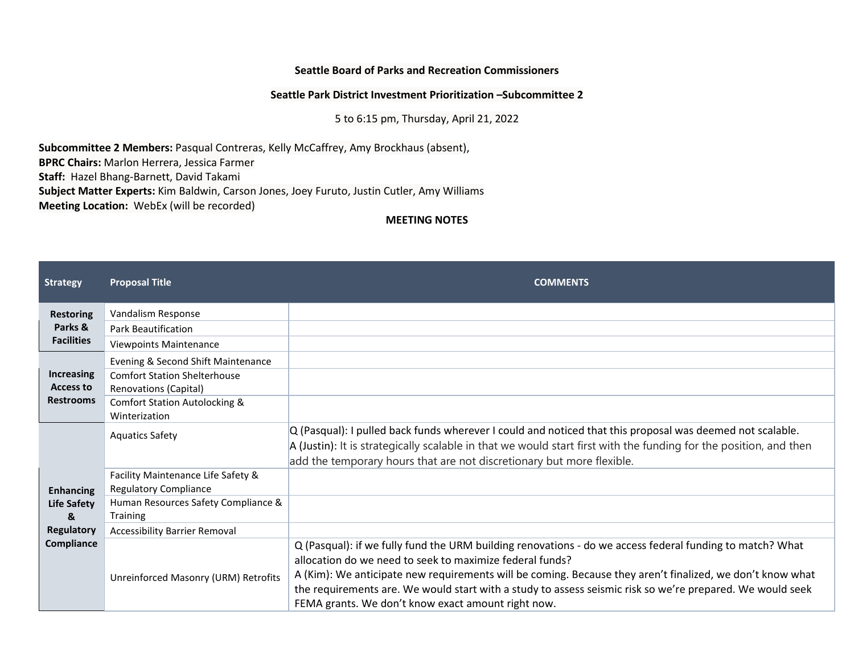## **Seattle Board of Parks and Recreation Commissioners**

## **Seattle Park District Investment Prioritization –Subcommittee 2**

5 to 6:15 pm, Thursday, April 21, 2022

**Subcommittee 2 Members:** Pasqual Contreras, Kelly McCaffrey, Amy Brockhaus (absent), **BPRC Chairs:** Marlon Herrera, Jessica Farmer **Staff:** Hazel Bhang-Barnett, David Takami

**Subject Matter Experts:** Kim Baldwin, Carson Jones, Joey Furuto, Justin Cutler, Amy Williams

**Meeting Location:** WebEx (will be recorded)

**MEETING NOTES**

| <b>Strategy</b>                                                         | <b>Proposal Title</b>                                                                                                                                           | <b>COMMENTS</b>                                                                                                                                                                                                                                                                                                                                                                                                                                      |
|-------------------------------------------------------------------------|-----------------------------------------------------------------------------------------------------------------------------------------------------------------|------------------------------------------------------------------------------------------------------------------------------------------------------------------------------------------------------------------------------------------------------------------------------------------------------------------------------------------------------------------------------------------------------------------------------------------------------|
| <b>Restoring</b><br>Parks &<br><b>Facilities</b>                        | Vandalism Response<br><b>Park Beautification</b><br><b>Viewpoints Maintenance</b>                                                                               |                                                                                                                                                                                                                                                                                                                                                                                                                                                      |
| <b>Increasing</b><br><b>Access to</b><br><b>Restrooms</b>               | Evening & Second Shift Maintenance<br><b>Comfort Station Shelterhouse</b><br>Renovations (Capital)<br><b>Comfort Station Autolocking &amp;</b><br>Winterization |                                                                                                                                                                                                                                                                                                                                                                                                                                                      |
| <b>Enhancing</b><br>Life Safety<br>&<br><b>Regulatory</b><br>Compliance | <b>Aquatics Safety</b>                                                                                                                                          | $Q$ (Pasqual): I pulled back funds wherever I could and noticed that this proposal was deemed not scalable.<br>A (Justin): It is strategically scalable in that we would start first with the funding for the position, and then<br>add the temporary hours that are not discretionary but more flexible.                                                                                                                                            |
|                                                                         | Facility Maintenance Life Safety &<br><b>Regulatory Compliance</b>                                                                                              |                                                                                                                                                                                                                                                                                                                                                                                                                                                      |
|                                                                         | Human Resources Safety Compliance &<br><b>Training</b>                                                                                                          |                                                                                                                                                                                                                                                                                                                                                                                                                                                      |
|                                                                         | <b>Accessibility Barrier Removal</b>                                                                                                                            |                                                                                                                                                                                                                                                                                                                                                                                                                                                      |
|                                                                         | Unreinforced Masonry (URM) Retrofits                                                                                                                            | Q (Pasqual): if we fully fund the URM building renovations - do we access federal funding to match? What<br>allocation do we need to seek to maximize federal funds?<br>A (Kim): We anticipate new requirements will be coming. Because they aren't finalized, we don't know what<br>the requirements are. We would start with a study to assess seismic risk so we're prepared. We would seek<br>FEMA grants. We don't know exact amount right now. |